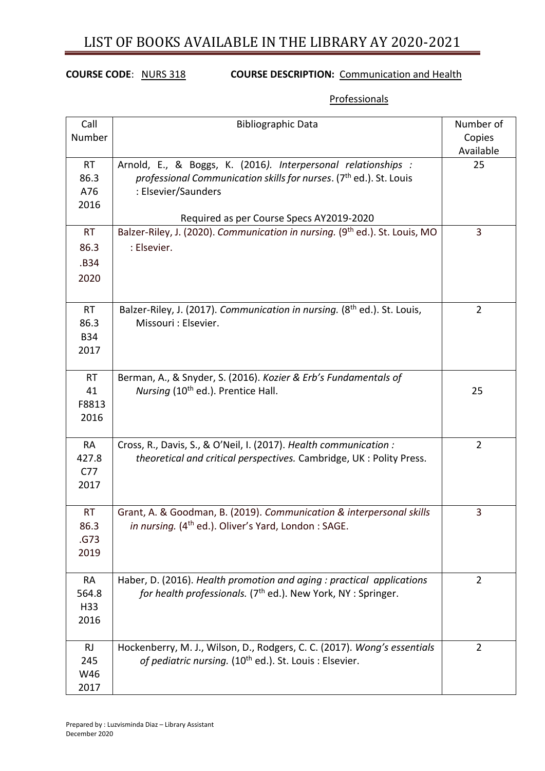## **COURSE CODE**: NURS 318 **COURSE DESCRIPTION:** Communication and Health

### **Professionals**

| Call                             | <b>Bibliographic Data</b>                                                                                                                                                                                          | Number of      |
|----------------------------------|--------------------------------------------------------------------------------------------------------------------------------------------------------------------------------------------------------------------|----------------|
| Number                           |                                                                                                                                                                                                                    | Copies         |
|                                  |                                                                                                                                                                                                                    | Available      |
| <b>RT</b><br>86.3<br>A76<br>2016 | Arnold, E., & Boggs, K. (2016). Interpersonal relationships :<br>professional Communication skills for nurses. (7 <sup>th</sup> ed.). St. Louis<br>: Elsevier/Saunders<br>Required as per Course Specs AY2019-2020 | 25             |
| <b>RT</b>                        | Balzer-Riley, J. (2020). Communication in nursing. (9th ed.). St. Louis, MO                                                                                                                                        | 3              |
| 86.3                             | : Elsevier.                                                                                                                                                                                                        |                |
| .B34                             |                                                                                                                                                                                                                    |                |
|                                  |                                                                                                                                                                                                                    |                |
| 2020                             |                                                                                                                                                                                                                    |                |
| <b>RT</b>                        | Balzer-Riley, J. (2017). Communication in nursing. (8 <sup>th</sup> ed.). St. Louis,                                                                                                                               | $\overline{2}$ |
| 86.3                             | Missouri : Elsevier.                                                                                                                                                                                               |                |
| <b>B34</b><br>2017               |                                                                                                                                                                                                                    |                |
|                                  |                                                                                                                                                                                                                    |                |
| <b>RT</b>                        | Berman, A., & Snyder, S. (2016). Kozier & Erb's Fundamentals of                                                                                                                                                    |                |
| 41                               | Nursing (10 <sup>th</sup> ed.). Prentice Hall.                                                                                                                                                                     | 25             |
| F8813                            |                                                                                                                                                                                                                    |                |
| 2016                             |                                                                                                                                                                                                                    |                |
|                                  |                                                                                                                                                                                                                    |                |
| <b>RA</b><br>427.8               | Cross, R., Davis, S., & O'Neil, I. (2017). Health communication :                                                                                                                                                  | $\overline{2}$ |
| C <sub>77</sub>                  | theoretical and critical perspectives. Cambridge, UK : Polity Press.                                                                                                                                               |                |
| 2017                             |                                                                                                                                                                                                                    |                |
|                                  |                                                                                                                                                                                                                    |                |
| <b>RT</b>                        | Grant, A. & Goodman, B. (2019). Communication & interpersonal skills                                                                                                                                               | 3              |
| 86.3                             | in nursing. (4 <sup>th</sup> ed.). Oliver's Yard, London: SAGE.                                                                                                                                                    |                |
| .G73                             |                                                                                                                                                                                                                    |                |
| 2019                             |                                                                                                                                                                                                                    |                |
| RA                               | Haber, D. (2016). Health promotion and aging : practical applications                                                                                                                                              | 2              |
| 564.8                            | for health professionals. (7 <sup>th</sup> ed.). New York, NY : Springer.                                                                                                                                          |                |
| H33                              |                                                                                                                                                                                                                    |                |
| 2016                             |                                                                                                                                                                                                                    |                |
|                                  |                                                                                                                                                                                                                    |                |
| <b>RJ</b><br>245                 | Hockenberry, M. J., Wilson, D., Rodgers, C. C. (2017). Wong's essentials<br>of pediatric nursing. (10 <sup>th</sup> ed.). St. Louis : Elsevier.                                                                    | $\overline{2}$ |
| W46                              |                                                                                                                                                                                                                    |                |
| 2017                             |                                                                                                                                                                                                                    |                |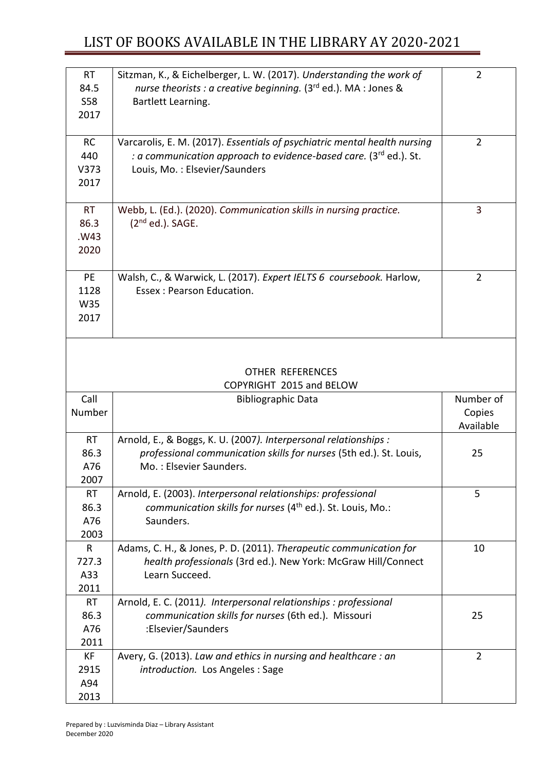| <b>RT</b><br>84.5<br><b>S58</b> | Sitzman, K., & Eichelberger, L. W. (2017). Understanding the work of<br>nurse theorists : a creative beginning. $(3rd$ ed.). MA : Jones &<br>Bartlett Learning. | $\overline{2}$ |
|---------------------------------|-----------------------------------------------------------------------------------------------------------------------------------------------------------------|----------------|
| 2017                            |                                                                                                                                                                 |                |
| <b>RC</b>                       | Varcarolis, E. M. (2017). Essentials of psychiatric mental health nursing                                                                                       | $\overline{2}$ |
| 440                             | : a communication approach to evidence-based care. (3rd ed.). St.                                                                                               |                |
| V373                            | Louis, Mo.: Elsevier/Saunders                                                                                                                                   |                |
| 2017                            |                                                                                                                                                                 |                |
|                                 |                                                                                                                                                                 |                |
| <b>RT</b>                       | Webb, L. (Ed.). (2020). Communication skills in nursing practice.                                                                                               | 3              |
| 86.3                            | $(2nd$ ed.). SAGE.                                                                                                                                              |                |
| .W43                            |                                                                                                                                                                 |                |
| 2020                            |                                                                                                                                                                 |                |
|                                 |                                                                                                                                                                 |                |
| <b>PE</b>                       | Walsh, C., & Warwick, L. (2017). Expert IELTS 6 coursebook. Harlow,                                                                                             | $\overline{2}$ |
| 1128                            | Essex: Pearson Education.                                                                                                                                       |                |
| W35                             |                                                                                                                                                                 |                |
| 2017                            |                                                                                                                                                                 |                |
|                                 |                                                                                                                                                                 |                |
|                                 |                                                                                                                                                                 |                |
|                                 | <b>OTHER REFERENCES</b>                                                                                                                                         |                |
|                                 | COPYRIGHT 2015 and BELOW                                                                                                                                        |                |
|                                 |                                                                                                                                                                 |                |

| Call      | <b>Bibliographic Data</b>                                              | Number of      |
|-----------|------------------------------------------------------------------------|----------------|
| Number    |                                                                        | Copies         |
|           |                                                                        | Available      |
| <b>RT</b> | Arnold, E., & Boggs, K. U. (2007). Interpersonal relationships :       |                |
| 86.3      | professional communication skills for nurses (5th ed.). St. Louis,     | 25             |
| A76       | Mo.: Elsevier Saunders.                                                |                |
| 2007      |                                                                        |                |
| <b>RT</b> | Arnold, E. (2003). Interpersonal relationships: professional           | 5              |
| 86.3      | communication skills for nurses (4 <sup>th</sup> ed.). St. Louis, Mo.: |                |
| A76       | Saunders.                                                              |                |
| 2003      |                                                                        |                |
| R.        | Adams, C. H., & Jones, P. D. (2011). Therapeutic communication for     | 10             |
| 727.3     | health professionals (3rd ed.). New York: McGraw Hill/Connect          |                |
| A33       | Learn Succeed.                                                         |                |
| 2011      |                                                                        |                |
| <b>RT</b> | Arnold, E. C. (2011). Interpersonal relationships: professional        |                |
| 86.3      | communication skills for nurses (6th ed.). Missouri                    | 25             |
| A76       | :Elsevier/Saunders                                                     |                |
| 2011      |                                                                        |                |
| КF        | Avery, G. (2013). Law and ethics in nursing and healthcare: an         | $\overline{2}$ |
| 2915      | introduction. Los Angeles : Sage                                       |                |
| A94       |                                                                        |                |
| 2013      |                                                                        |                |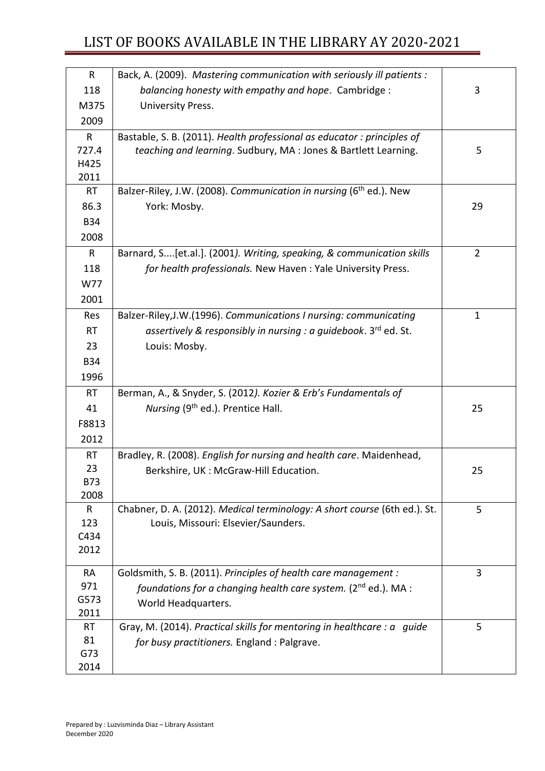| $\mathsf{R}$ | Back, A. (2009). Mastering communication with seriously ill patients :         |                |
|--------------|--------------------------------------------------------------------------------|----------------|
| 118          | balancing honesty with empathy and hope. Cambridge:                            | 3              |
| M375         | University Press.                                                              |                |
| 2009         |                                                                                |                |
| R            | Bastable, S. B. (2011). Health professional as educator: principles of         |                |
| 727.4        | teaching and learning. Sudbury, MA : Jones & Bartlett Learning.                | 5              |
| H425         |                                                                                |                |
| 2011         |                                                                                |                |
| <b>RT</b>    | Balzer-Riley, J.W. (2008). Communication in nursing (6 <sup>th</sup> ed.). New |                |
| 86.3         | York: Mosby.                                                                   | 29             |
| <b>B34</b>   |                                                                                |                |
| 2008         |                                                                                |                |
| R            | Barnard, S[et.al.]. (2001). Writing, speaking, & communication skills          | $\overline{2}$ |
| 118          | for health professionals. New Haven: Yale University Press.                    |                |
| W77          |                                                                                |                |
| 2001         |                                                                                |                |
| Res          | Balzer-Riley, J.W. (1996). Communications I nursing: communicating             | $\mathbf 1$    |
| <b>RT</b>    | assertively & responsibly in nursing : a guidebook. $3^{rd}$ ed. St.           |                |
| 23           | Louis: Mosby.                                                                  |                |
| <b>B34</b>   |                                                                                |                |
| 1996         |                                                                                |                |
| <b>RT</b>    | Berman, A., & Snyder, S. (2012). Kozier & Erb's Fundamentals of                |                |
| 41           | Nursing (9 <sup>th</sup> ed.). Prentice Hall.                                  | 25             |
| F8813        |                                                                                |                |
| 2012         |                                                                                |                |
| <b>RT</b>    | Bradley, R. (2008). English for nursing and health care. Maidenhead,           |                |
| 23           | Berkshire, UK: McGraw-Hill Education.                                          | 25             |
| <b>B73</b>   |                                                                                |                |
| 2008         |                                                                                |                |
| R            | Chabner, D. A. (2012). Medical terminology: A short course (6th ed.). St.      | 5              |
| 123          | Louis, Missouri: Elsevier/Saunders.                                            |                |
| C434         |                                                                                |                |
| 2012         |                                                                                |                |
| <b>RA</b>    | Goldsmith, S. B. (2011). Principles of health care management :                | 3              |
| 971          | foundations for a changing health care system. (2nd ed.). MA :                 |                |
| G573         | World Headquarters.                                                            |                |
| 2011         |                                                                                |                |
| <b>RT</b>    | Gray, M. (2014). Practical skills for mentoring in healthcare : a guide        | 5              |
| 81           | for busy practitioners. England : Palgrave.                                    |                |
| G73          |                                                                                |                |
| 2014         |                                                                                |                |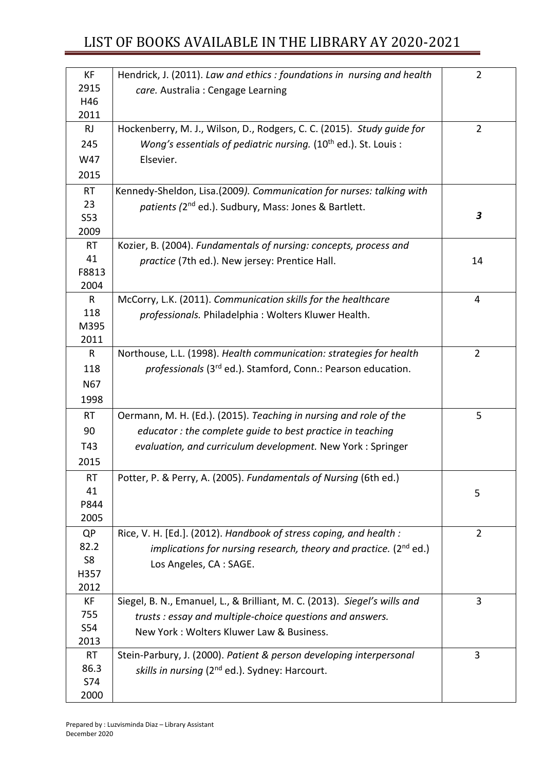| KF             | Hendrick, J. (2011). Law and ethics: foundations in nursing and health    | $\overline{2}$ |
|----------------|---------------------------------------------------------------------------|----------------|
| 2915           | care. Australia : Cengage Learning                                        |                |
| H46            |                                                                           |                |
| 2011           |                                                                           |                |
| <b>RJ</b>      | Hockenberry, M. J., Wilson, D., Rodgers, C. C. (2015). Study quide for    | $\overline{2}$ |
| 245            | Wong's essentials of pediatric nursing. $(10th$ ed.). St. Louis :         |                |
| W47            | Elsevier.                                                                 |                |
| 2015           |                                                                           |                |
| <b>RT</b>      | Kennedy-Sheldon, Lisa.(2009). Communication for nurses: talking with      |                |
| 23             | patients (2 <sup>nd</sup> ed.). Sudbury, Mass: Jones & Bartlett.          |                |
| S53            |                                                                           | 3              |
| 2009           |                                                                           |                |
| RT             | Kozier, B. (2004). Fundamentals of nursing: concepts, process and         |                |
| 41             | practice (7th ed.). New jersey: Prentice Hall.                            | 14             |
| F8813          |                                                                           |                |
| 2004           |                                                                           |                |
| R              | McCorry, L.K. (2011). Communication skills for the healthcare             | 4              |
| 118            | professionals. Philadelphia: Wolters Kluwer Health.                       |                |
| M395<br>2011   |                                                                           |                |
| $\mathsf{R}$   | Northouse, L.L. (1998). Health communication: strategies for health       | $\overline{2}$ |
| 118            | professionals (3rd ed.). Stamford, Conn.: Pearson education.              |                |
|                |                                                                           |                |
| N67            |                                                                           |                |
| 1998           |                                                                           |                |
| <b>RT</b>      | Oermann, M. H. (Ed.). (2015). Teaching in nursing and role of the         | 5              |
| 90             | educator: the complete guide to best practice in teaching                 |                |
| T43            | evaluation, and curriculum development. New York: Springer                |                |
| 2015           |                                                                           |                |
| RT             | Potter, P. & Perry, A. (2005). Fundamentals of Nursing (6th ed.)          |                |
| 41             |                                                                           | 5              |
| P844           |                                                                           |                |
| 2005           |                                                                           |                |
| <b>QP</b>      | Rice, V. H. [Ed.]. (2012). Handbook of stress coping, and health :        | $\overline{2}$ |
| 82.2           | implications for nursing research, theory and practice. $(2^{nd}$ ed.)    |                |
| S <sub>8</sub> | Los Angeles, CA : SAGE.                                                   |                |
| H357           |                                                                           |                |
| 2012           |                                                                           |                |
| КF             | Siegel, B. N., Emanuel, L., & Brilliant, M. C. (2013). Siegel's wills and | 3              |
| 755<br>S54     | trusts: essay and multiple-choice questions and answers.                  |                |
| 2013           | New York: Wolters Kluwer Law & Business.                                  |                |
| <b>RT</b>      | Stein-Parbury, J. (2000). Patient & person developing interpersonal       | 3              |
| 86.3           |                                                                           |                |
| S74            | skills in nursing (2 <sup>nd</sup> ed.). Sydney: Harcourt.                |                |
| 2000           |                                                                           |                |
|                |                                                                           |                |